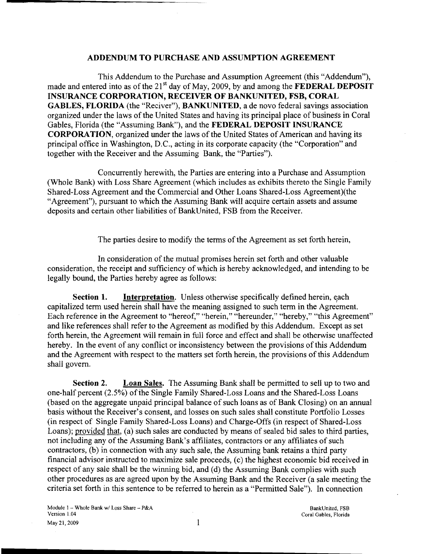## **ADDENDUM TO PURCHASE AND ASSUMPTION AGREEMENT**

This Addendum to the Purchase and Assumption Agreement (this "Addendum"), made and entered into as of the 21" day of May, 2009, by and among the **FEDERAL DEPOSIT INSURANCE CORPORATION, RECEIVER OF BANKUNITED, FSB, CORAL GABLES, FLORIDA** (the "Reciver"), **BANKUNITED,** a de novo federal savings association organized under the laws of the United States and having its principal place of business in Coral Gables, Florida (the "Assuming Bank"), and the **FEDERAL DEPOSIT INSURANCE CORPORATION,** organized under the laws of the United States of American and having its principal office in Washington, D.C., acting in its corporate capacity (the "Corporation" and together with the Receiver and the Assuming Bank, the "Parties").

Concurrently herewith, the Parties are entering into a Purchase and Assumption (Whole Bank) with Loss Share Agreement (which includes as exhibits thereto the Single Family Shared-Loss Agreement and the Commercial and Other Loans Shared-Loss Agreement)(the "Agreement"), pursuant to which the Assuming Bank will acquire certain assets and assume deposits and certain other liabilities of BankUnited, FSB from the Receiver.

The parties desire to modify the terms of the Agreement as set forth herein,

In consideration of the mutual promises herein set forth and other valuable consideration, the receipt and sufficiency of which is hereby acknowledged, and intending to be legally bound, the Parties hereby agree as follows:

**Section 1.** Interpretation. Unless otherwise specifically defined herein, each capitalized term used herein shall have the meaning assigned to such term in the Agreement. Each reference in the Agreement to "hereof," "herein," "hereunder," "hereby," "this Agreement" and like references shall refer to the Agreement as modified by this Addendum. Except as set forth herein, the Agreement will remain in full force and effect and shall be otherwise unaffected hereby. In the event of any conflict or inconsistency between the provisions of this Addendum and the Agreement with respect to the matters set forth herein, the provisions of this Addendum shall govern.

**Section 2. Loan Sales.** The Assuming Bank shall be permitted to sell up to two and one-half percent (2.5%) of the Single Family Shared-Loss Loans and the Shared-Loss Loans (based on the aggregate unpaid principal balance of such loans as of Bank Closing) on an annual basis without the Receiver's consent, and losses on such sales shall constitute Portfolio Losses (in respect of Single Family Shared-Loss Loans) and Charge-Offs (in respect of Shared-Loss Loans); provided that, (a) such sales are conducted by means of sealed bid sales to third parties, not including any of the Assuming Bank's affiliates, contractors or any affiliates of such contractors, (b) in connection with any such sale, the Assuming bank retains a third party financial advisor instructed to maximize sale proceeds, (c) the highest economic bid received in respect of any sale shall be the winning bid, and (d) the Assuming Bank complies with such other procedures as are agreed upon by the Assuming Bank and the Receiver (a sale meeting the criteria set forth in this sentence to be referred to herein as a "Permitted Sale"). In connection

Coral Gables, Florida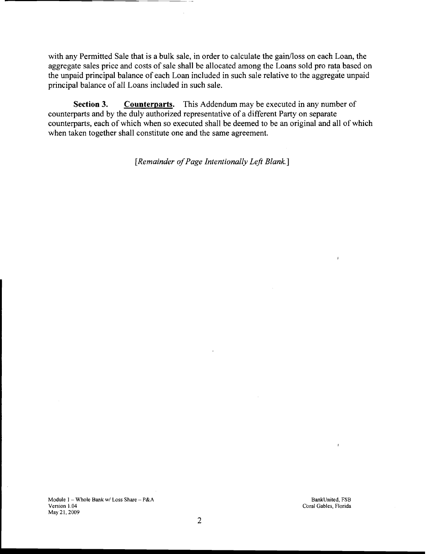with any Permitted Sale that is a bulk sale, in order to calculate the gain/loss on each Loan, the aggregate sales price and costs of sale shall be allocated among the Loans sold pro rata based on the unpaid principal balance of each Loan included in such sale relative to the aggregate unpaid principal balance of all Loans included in such sale.

**Section 3.** Counterparts. This Addendum may be executed in any number of counterparts and by the duly authorized representative of a different Party on separate counterparts, each of which when so executed shall be deemed to be an original and all of which when taken together shall constitute one and the same agreement.

*[Remainder of Page Intentionally Left Blank.]* 

Coral Gables, Florida

 $\mathbf{r}$ 

 $\mathbf{I}$